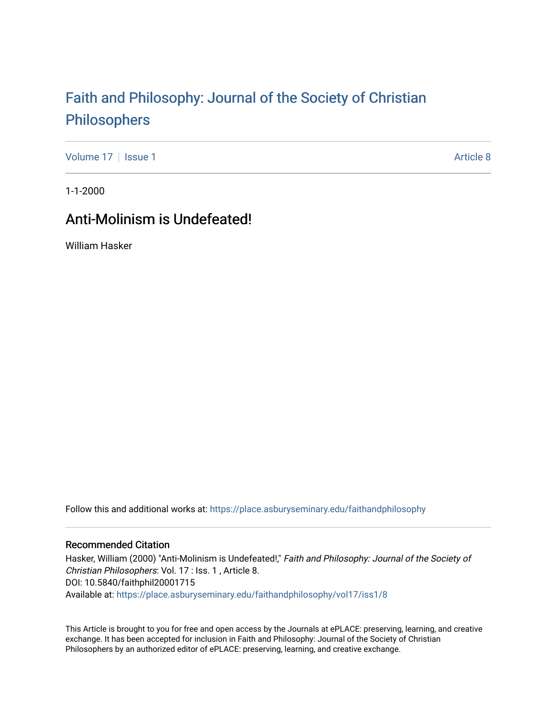# [Faith and Philosophy: Journal of the Society of Christian](https://place.asburyseminary.edu/faithandphilosophy)  [Philosophers](https://place.asburyseminary.edu/faithandphilosophy)

[Volume 17](https://place.asburyseminary.edu/faithandphilosophy/vol17) | [Issue 1](https://place.asburyseminary.edu/faithandphilosophy/vol17/iss1) Article 8

1-1-2000

## Anti-Molinism is Undefeated!

William Hasker

Follow this and additional works at: [https://place.asburyseminary.edu/faithandphilosophy](https://place.asburyseminary.edu/faithandphilosophy?utm_source=place.asburyseminary.edu%2Ffaithandphilosophy%2Fvol17%2Fiss1%2F8&utm_medium=PDF&utm_campaign=PDFCoverPages)

### Recommended Citation

Hasker, William (2000) "Anti-Molinism is Undefeated!," Faith and Philosophy: Journal of the Society of Christian Philosophers: Vol. 17 : Iss. 1 , Article 8. DOI: 10.5840/faithphil20001715 Available at: [https://place.asburyseminary.edu/faithandphilosophy/vol17/iss1/8](https://place.asburyseminary.edu/faithandphilosophy/vol17/iss1/8?utm_source=place.asburyseminary.edu%2Ffaithandphilosophy%2Fvol17%2Fiss1%2F8&utm_medium=PDF&utm_campaign=PDFCoverPages)

This Article is brought to you for free and open access by the Journals at ePLACE: preserving, learning, and creative exchange. It has been accepted for inclusion in Faith and Philosophy: Journal of the Society of Christian Philosophers by an authorized editor of ePLACE: preserving, learning, and creative exchange.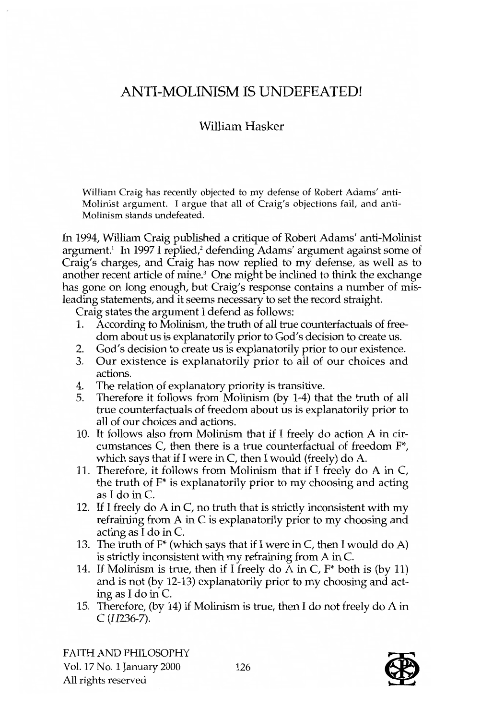## ANTI-MOLINISM IS UNDEFEATED!

## William Hasker

William Craig has recently objected to my defense of Robert Adams' anti-Molinist argument. I argue that all of Craig's objections fail, and anti-Molinism stands undefeated.

In 1994, William Craig published a critique of Robert Adams' anti-Molinist argument.<sup>1</sup> In 1997 I replied,<sup>2</sup> defending Adams' argument against some of Craig's charges, and Craig has now replied to my defense, as well as to another recent article of mine.3 One might be inclined to think the exchange has gone on long enough, but Craig's response contains a number of misleading statements, and it seems necessary to set the record straight.

Craig states the argument I defend as follows:

- 1. According to Molinism, the truth of all true counterfactuals of freedom about us is explanatorily prior to God's decision to create us.
- 2. God's decision to create us is explanatorily prior to our existence.
- 3. Our existence is explanatorily prior to all of our choices and actions.
- 4. The relation of explanatory priority is transitive.
- 5. Therefore it follows from Molinism (by 1-4) that the truth of all true counterfactuals of freedom about us is explanatorily prior to all of our choices and actions.
- 10. It follows also from Molinism that if I freely do action A in circumstances C, then there is a true counterfactual of freedom F\*, which says that if I were in C, then I would (freely) do A.
- 11. Therefore, it follows from Molinism that if I freely do A in C, the truth of F\* is explanatorily prior to my choosing and acting as I do in C.
- 12. If I freely do A in C, no truth that is strictly inconsistent with my refraining from A in C is explanatorily prior to my choosing and acting as I do in C.
- 13. The truth of  $F^*$  (which says that if I were in C, then I would do A) is strictly inconsistent with my refraining from A in C.
- 14. If Molinism is true, then if I freely do A in C,  $F^*$  both is (by 11) and is not (by 12-13) explanatorily prior to my choosing and acting as I do in C.
- 15. Therefore, (by 14) if Molinism is true, then I do not freely do A in C (H236-7).

FAITH AND PHILOSOPHY Vol. 17 No.1 January 2000 All rights reserved

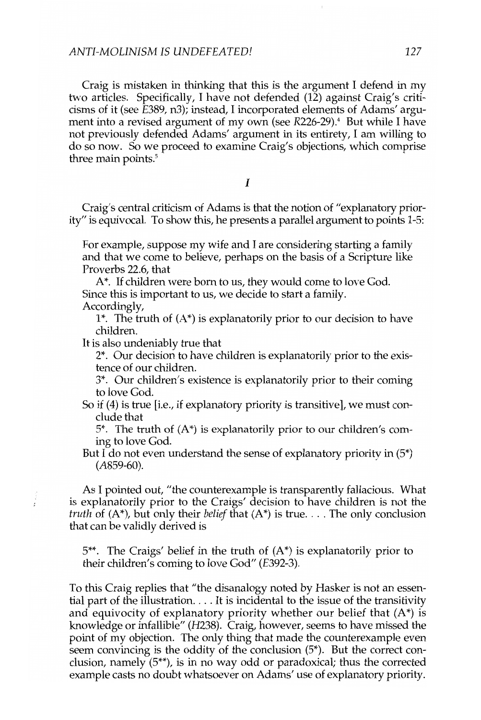Craig is mistaken in thinking that this is the argument I defend in my two articles. Specifically, I have not defended (12) against Craig's criticisms of it (see E389, n3); instead, I incorporated elements of Adams' argument into a revised argument of my own (see R226-29).<sup>4</sup> But while I have not previously defended Adams' argument in its entirety, I am willing to do so now. So we proceed to examine Craig's objections, which comprise three main points.<sup>5</sup>

I

Craig's central criticism of Adams is that the notion of "explanatory priority" is equivocal. To show this, he presents a parallel argument to points 1-5:

For example, suppose my wife and I are considering starting a family and that we come to believe, perhaps on the basis of a Scripture like Proverbs 22.6, that

A\*. If children were born to us, they would come to love God. Since this is important to us, we decide to start a family.

Accordingly,

1\*. The truth of  $(A^*)$  is explanatorily prior to our decision to have children.

It is also undeniably true that

2\*. Our decision to have children is explanatorily prior to the existence of our children.

3\*. Our children's existence is explanatorily prior to their coming to love God.

So if (4) is true [i.e., if explanatory priority is transitive], we must conclude that

 $5^*$ . The truth of  $(A^*)$  is explanatorily prior to our children's coming to love God.

But I do not even understand the sense of explanatory priority in  $(5^*)$ (A859-60).

As I pointed out, "the counterexample is transparently fallacious. What is explanatorily prior to the Craigs' decision to have children is not the *truth* of  $(A^*)$ , but only their *belief* that  $(A^*)$  is true.... The only conclusion that can be validly derived is

 $5$ <sup>\*\*</sup>. The Craigs' belief in the truth of  $(A^*)$  is explanatorily prior to their children's coming to love God" (E392-3).

To this Craig replies that "the disanalogy noted by Hasker is not an essential part of the illustration.  $\dots$  It is incidental to the issue of the transitivity and equivocity of explanatory priority whether our belief that  $(A^*)$  is knowledge or infallible" (H238). Craig, however, seems to have missed the point of my objection. The only thing that made the counterexample even seem convincing is the oddity of the conclusion (5\*). But the correct conclusion, namely (5\*\*), is in no way odd or paradoxical; thus the corrected example casts no doubt whatsoever on Adams' use of explanatory priority.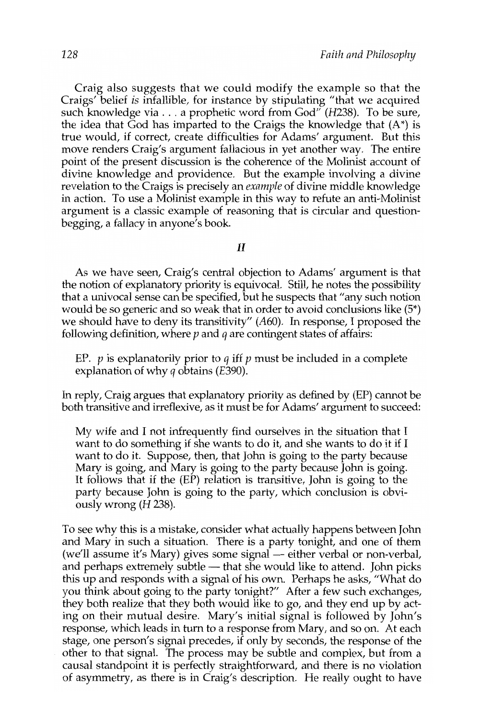Craig also suggests that we could modify the example so that the Craigs' belief *is* infallible, for instance by stipulating "that we acquired such knowledge via ... a prophetic word from God" *(H238).* To be sure, the idea that God has imparted to the Craigs the knowledge that  $(A^*)$  is true would, if correct, create difficulties for Adams' argument. But this move renders Craig's argument fallacious in yet another way. The entire point of the present discussion is the coherence of the Molinist account of divine knowledge and providence. But the example involving a divine revelation to the Craigs is precisely an *example* of divine middle knowledge in action. To use a Molinist example in this way to refute an anti-Molinist argument is a classic example of reasoning that is circular and questionbegging, a fallacy in anyone's book.

#### II

As we have seen, Craig's central objection to Adams' argument is that the notion of explanatory priority is equivocal. Still, he notes the possibility that a univocal sense can be specified, but he suspects that "any such notion would be so generic and so weak that in order to avoid conclusions like (5\*) we should have to deny its transitivity" (A60). In response, I proposed the following definition, where  $p$  and  $q$  are contingent states of affairs:

EP.  $p$  is explanatorily prior to  $q$  iff  $p$  must be included in a complete explanation of why *q* obtains (E390).

In reply, Craig argues that explanatory priority as defined by (EP) cannot be both transitive and irreflexive, as it must be for Adams' argument to succeed:

My wife and I not infrequently find ourselves in the situation that I want to do something if she wants to do it, and she wants to do it if I want to do it. Suppose, then, that John is going to the party because Mary is going, and Mary is going to the party because John is going. It follows that if the (EP) relation is transitive, John is going to the party because John is going to the party, which conclusion is obviously wrong (H 238).

To see why this is a mistake, consider what actually happens between John and Mary in such a situation. There is a party tonight, and one of them (we'll assume it's Mary) gives some signal — either verbal or non-verbal, and perhaps extremely subtle  $-$  that she would like to attend. John picks this up and responds with a signal of his own. Perhaps he asks, "What do you think about going to the party tonight?" After a few such exchanges, they both realize that they both would like to go, and they end up by acting on their mutual desire. Mary's initial signal is followed by John's response, which leads in tum to a response from Mary, and so on. At each stage, one person's signal precedes, if only by seconds, the response of the other to that signal. The process may be subtle and complex, but from a causal standpoint it is perfectly straightforward, and there is no violation of asymmetry, as there is in Craig's description. He really ought to have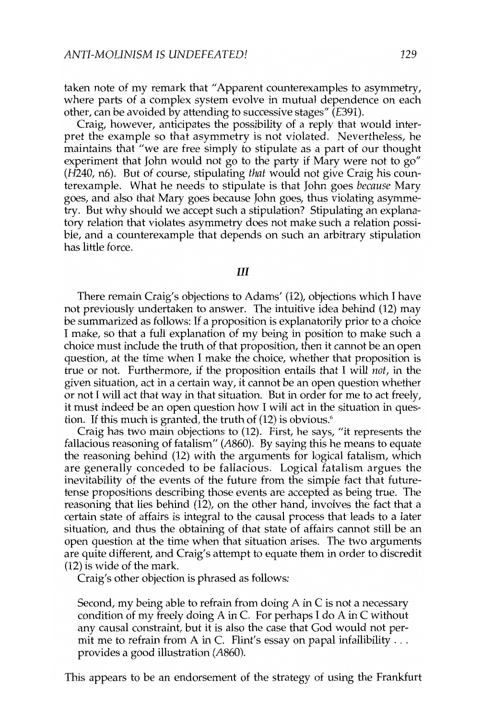taken note of my remark that" Apparent counterexamples to asymmetry, where parts of a complex system evolve in mutual dependence on each other, can be avoided by attending to successive stages" (E391).

Craig, however, anticipates the possibility of a reply that would interpret the example so that asymmetry is not violated. Nevertheless, he maintains that "we are free simply to stipulate as a part of our thought experiment that John would not go to the party if Mary were not to *go" (H240,* n6). But of course, stipulating *that* would not give Craig his counterexample. What he needs to stipulate is that John goes *because* Mary goes, and also that Mary goes because John goes, thus violating asymmetry. But why should we accept such a stipulation? Stipulating an explanatory relation that violates asymmetry does not make such a relation possible, and a counterexample that depends on such an arbitrary stipulation has little force.

**III** 

There remain Craig's objections to Adams' (12), objections which I have not previously undertaken to answer. The intuitive idea behind (12) may be summarized as follows: If a proposition is explanatorily prior to a choice I make, so that a full explanation of my being in position to make such a choice must include the truth of that proposition, then it cannot be an open question, at the time when I make the choice, whether that proposition is true or not. Furthermore, if the proposition entails that I will *not,* in the given situation, act in a certain way, it cannot be an open question whether or not I will act that way in that situation. But in order for me to act freely, it must indeed be an open question how I will act in the situation in question. If this much is granted, the truth of (12) is obvious.<sup>6</sup>

Craig has two main objections to (12). First, he says, "it represents the fallacious reasoning of fatalism" (A860). By saying this he means to equate the reasoning behind (12) with the arguments for logical fatalism, which are generally conceded to be fallacious. Logical fatalism argues the inevitability of the events of the future from the simple fact that futuretense propositions describing those events are accepted as being true. The reasoning that lies behind  $(12)$ , on the other hand, involves the fact that a certain state of affairs is integral to the causal process that leads to a later situation, and thus the obtaining of that state of affairs cannot still be an open question at the time when that situation arises. The two arguments are quite different, and Craig's attempt to equate them in order to discredit (12) is wide of the mark.

Craig's other objection is phrased as follows:

Second, my being able to refrain from doing A in C is not a necessary condition of my freely doing A in C. For perhaps I do A in C without any causal constraint, but it is also the case that God would not permit me to refrain from A in C. Flint's essay on papal infallibility ... provides a good illustration (A860).

This appears to be an endorsement of the strategy of using the Frankfurt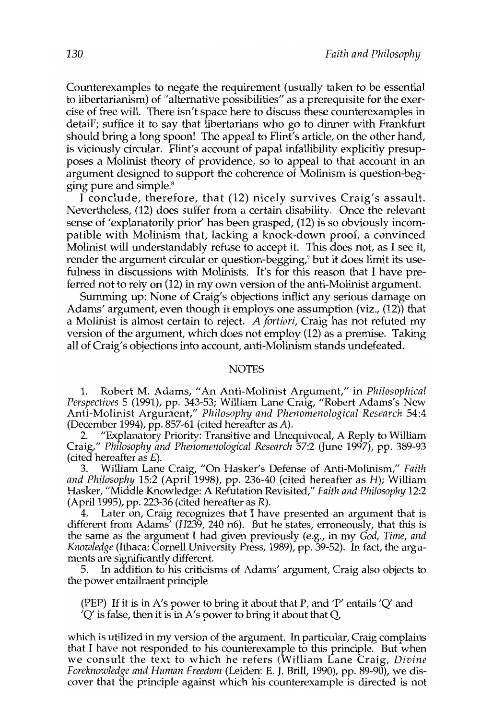Counterexamples to negate the requirement (usually taken to be essential to libertarianism) of "alternative possibilities" as a prerequisite for the exercise of free will. There isn't space here to discuss these counterexamples in detail<sup>7</sup>; suffice it to say that libertarians who go to dinner with Frankfurt should bring a long spoon! The appeal to Flint's article, on the other hand, is viciously circular. Flint's account of papal infallibility explicitly presupposes a Molinist theory of providence, so to appeal to that account in an argument designed to support the coherence of Molinism is question-begging pure and simple.<sup>8</sup>

I conclude, therefore, that (12) nicely survives Craig's assault. Nevertheless, (12) does suffer from a certain disability. Once the relevant sense of 'explanatorily prior' has been grasped, (12) is so obviously incompatible with Molinism that, lacking a knock-down proof, a convinced Molinist will understandably refuse to accept it. This does not, as I see it, render the argument circular or question-begging,<sup>9</sup> but it does limit its usefulness in discussions with Molinists. It's for this reason that I have preferred not to rely on (12) in my own version of the anti-Molinist argument.

Summing up: None of Craig's objections inflict any serious damage on Adams' argument, even though **it** employs one assumption (viz., (12» that a Molinist is almost certain to reject. *A fortiori,* Craig has not refuted my version of the argument, which does not employ (12) as a premise. Taking all of Craig's objections into account, anti-Molinism stands undefeated.

#### **NOTES**

1. Robert M. Adams, "An Anti-Molinist Argument," in *Philosophical Perspectives* 5 (1991), pp. 343-53; William Lane Craig, "Robert Adams's New Anti-Molinist Argument," *Philosophy and Phenomenological Research 54:4*  (December 1994), pp. 857-61 (cited hereafter as A).

2. "Explanatory Priority: Transitive and Unequivocal, A Reply to William Craig," *Philosophy and Phenornenological Research* 57:2 Uune 1997), pp. 389-93 (cited hereafter as E).

3. William Lane Craig, "On Hasker's Defense of Anti-Molinism," *Faith and Philosophy* 15:2 (April 1998), pp. 236-40 (cited hereafter as *H);* William Hasker, "Middle Knowledge: A Refutation Revisited," *Faith and Philosophy 12:2*  (April 1995), pp. 223-36 (cited hereafter as R).

4. Later on, Craig recognizes that I have presented an argument that is different from Adams' *(H239,* 240 n6). But he states, erroneously, that this is the same as the argument I had given previously (e.g., in my *God, Time, and Knowledge* (Ithaca: Cornell University Press, 1989), pp. 39-52). In fact, the arguments are significantly different.

5. In addition to his criticisms of Adams' argument, Craig also objects to the power entailment principle

(PEP) If it is in A's power to bring it about that P, and 'P' entails 'Q' and 'Q' is false, then it is in A's power to bring it about that Q,

which is utilized in my version of the argument. In particular, Craig complains that J have not responded to his counterexample to this principle. But when we consult the text to which he refers (William Lane Craig, *Divine Foreknowledge and Human Freedom* (Leiden: E. J. Brill, 1990), pp. 89-90), we discover that the principle against which his counterexample is directed is not